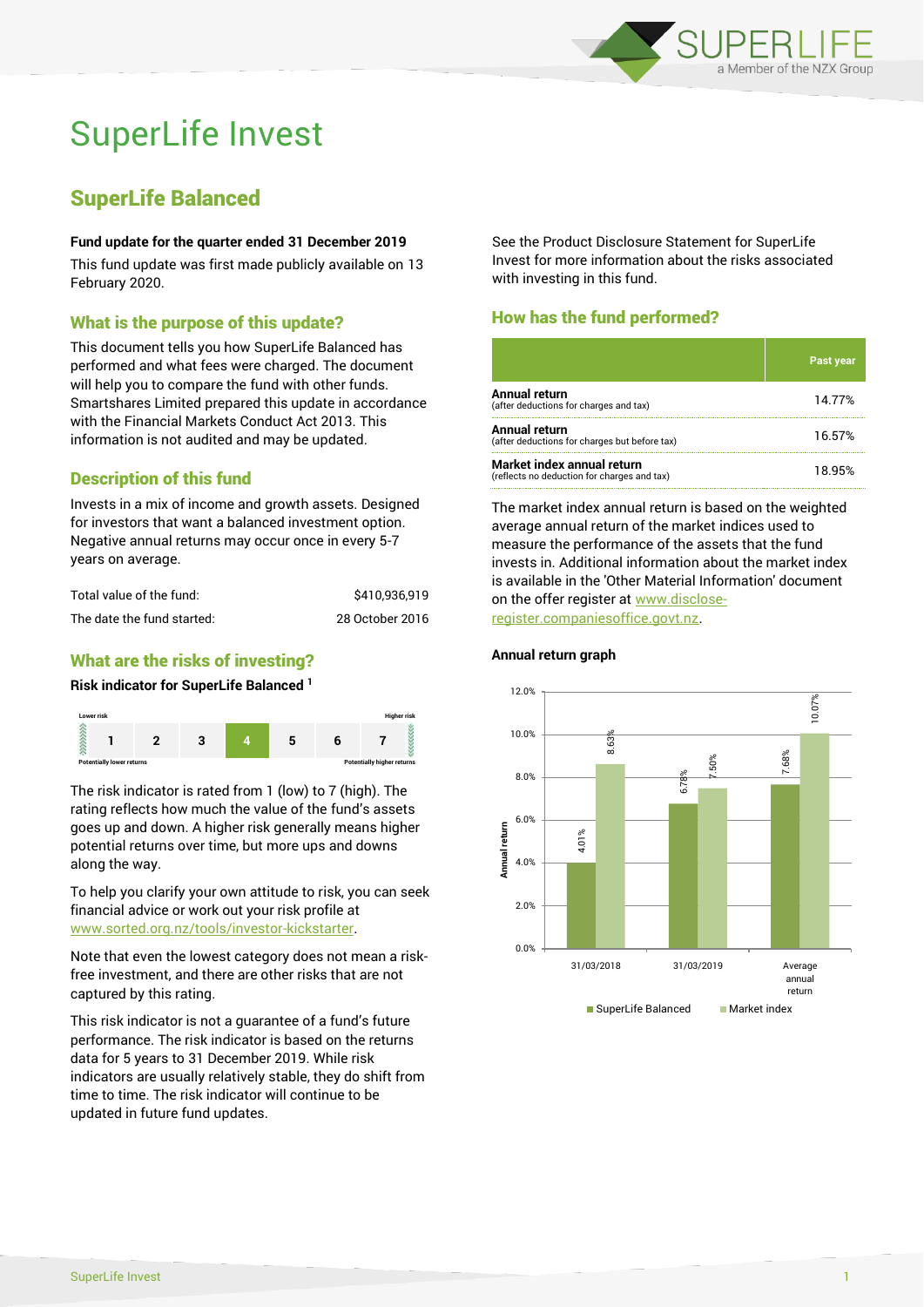

# SuperLife Invest

## SuperLife Balanced

#### **Fund update for the quarter ended 31 December 2019**

This fund update was first made publicly available on 13 February 2020.

## What is the purpose of this update?

This document tells you how SuperLife Balanced has performed and what fees were charged. The document will help you to compare the fund with other funds. Smartshares Limited prepared this update in accordance with the Financial Markets Conduct Act 2013. This information is not audited and may be updated.

## Description of this fund

Invests in a mix of income and growth assets. Designed for investors that want a balanced investment option. Negative annual returns may occur once in every 5-7 years on average.

| Total value of the fund:   | \$410.936.919   |
|----------------------------|-----------------|
| The date the fund started: | 28 October 2016 |

## What are the risks of investing?

#### **Risk indicator for SuperLife Balanced <sup>1</sup>**



The risk indicator is rated from 1 (low) to 7 (high). The rating reflects how much the value of the fund's assets goes up and down. A higher risk generally means higher potential returns over time, but more ups and downs along the way.

To help you clarify your own attitude to risk, you can seek financial advice or work out your risk profile at [www.sorted.org.nz/tools/investor-kickstarter.](http://www.sorted.org.nz/tools/investor-kickstarter)

Note that even the lowest category does not mean a riskfree investment, and there are other risks that are not captured by this rating.

This risk indicator is not a guarantee of a fund's future performance. The risk indicator is based on the returns data for 5 years to 31 December 2019. While risk indicators are usually relatively stable, they do shift from time to time. The risk indicator will continue to be updated in future fund updates.

See the Product Disclosure Statement for SuperLife Invest for more information about the risks associated with investing in this fund.

## How has the fund performed?

|                                                                           | <b>Past year</b> |
|---------------------------------------------------------------------------|------------------|
| Annual return<br>(after deductions for charges and tax)                   | 14.77%           |
| Annual return<br>(after deductions for charges but before tax)            | 16.57%           |
| Market index annual return<br>(reflects no deduction for charges and tax) | 18.95%           |

The market index annual return is based on the weighted average annual return of the market indices used to measure the performance of the assets that the fund invests in. Additional information about the market index is available in the 'Other Material Information' document on the offer register at www.discloseregister.companiesoffice.govt.nz.



#### **Annual return graph**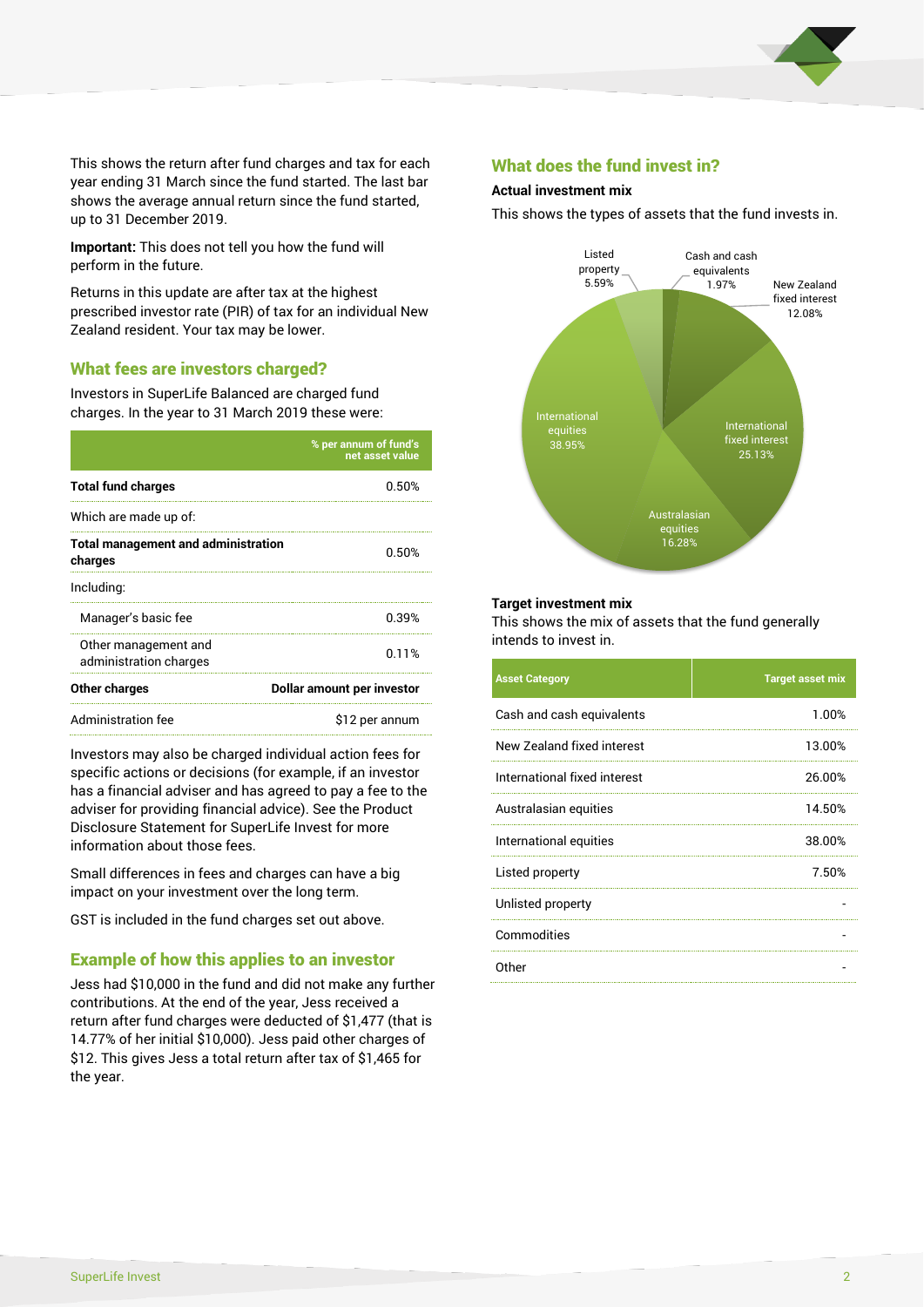

This shows the return after fund charges and tax for each year ending 31 March since the fund started. The last bar shows the average annual return since the fund started, up to 31 December 2019.

**Important:** This does not tell you how the fund will perform in the future.

Returns in this update are after tax at the highest prescribed investor rate (PIR) of tax for an individual New Zealand resident. Your tax may be lower.

## What fees are investors charged?

Investors in SuperLife Balanced are charged fund charges. In the year to 31 March 2019 these were:

|                                                       | % per annum of fund's<br>net asset value |  |
|-------------------------------------------------------|------------------------------------------|--|
| <b>Total fund charges</b>                             | 0.50%                                    |  |
| Which are made up of:                                 |                                          |  |
| <b>Total management and administration</b><br>charges | 0.50%                                    |  |
| Including:                                            |                                          |  |
| Manager's basic fee                                   | 0.39%                                    |  |
| Other management and<br>administration charges        | 0.11%                                    |  |
| Other charges                                         | Dollar amount per investor               |  |
| Administration fee                                    | \$12 per annum                           |  |

Investors may also be charged individual action fees for specific actions or decisions (for example, if an investor has a financial adviser and has agreed to pay a fee to the adviser for providing financial advice). See the Product Disclosure Statement for SuperLife Invest for more information about those fees.

Small differences in fees and charges can have a big impact on your investment over the long term.

GST is included in the fund charges set out above.

## Example of how this applies to an investor

Jess had \$10,000 in the fund and did not make any further contributions. At the end of the year, Jess received a return after fund charges were deducted of \$1,477 (that is 14.77% of her initial \$10,000). Jess paid other charges of \$12. This gives Jess a total return after tax of \$1,465 for the year.

### What does the fund invest in?

#### **Actual investment mix**

This shows the types of assets that the fund invests in.



#### **Target investment mix**

This shows the mix of assets that the fund generally intends to invest in.

| <b>Asset Category</b>        | <b>Target asset mix</b> |
|------------------------------|-------------------------|
| Cash and cash equivalents    | 1.00%                   |
| New Zealand fixed interest   | 13.00%                  |
| International fixed interest | 26.00%                  |
| Australasian equities        | 14.50%                  |
| International equities       | 38.00%                  |
| Listed property              | 7.50%                   |
| Unlisted property            |                         |
| Commodities                  |                         |
| Other                        |                         |